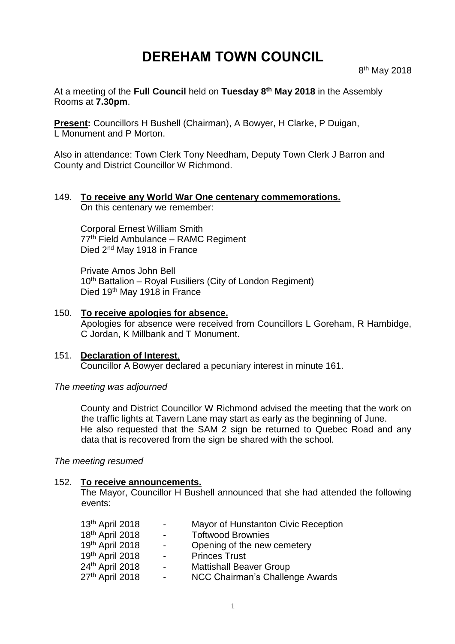# **DEREHAM TOWN COUNCIL**

At a meeting of the **Full Council** held on **Tuesday 8 th May 2018** in the Assembly Rooms at **7.30pm**.

**Present:** Councillors H Bushell (Chairman), A Bowyer, H Clarke, P Duigan, L Monument and P Morton.

Also in attendance: Town Clerk Tony Needham, Deputy Town Clerk J Barron and County and District Councillor W Richmond.

# 149. **To receive any World War One centenary commemorations.**

On this centenary we remember:

Corporal Ernest William Smith 77<sup>th</sup> Field Ambulance – RAMC Regiment Died 2<sup>nd</sup> May 1918 in France

Private Amos John Bell 10<sup>th</sup> Battalion – Royal Fusiliers (City of London Regiment) Died 19th May 1918 in France

## 150. **To receive apologies for absence.**

Apologies for absence were received from Councillors L Goreham, R Hambidge, C Jordan, K Millbank and T Monument.

#### 151. **Declaration of Interest**. Councillor A Bowyer declared a pecuniary interest in minute 161.

#### *The meeting was adjourned*

County and District Councillor W Richmond advised the meeting that the work on the traffic lights at Tavern Lane may start as early as the beginning of June. He also requested that the SAM 2 sign be returned to Quebec Road and any data that is recovered from the sign be shared with the school.

*The meeting resumed*

#### 152. **To receive announcements.**

The Mayor, Councillor H Bushell announced that she had attended the following events:

| 13 <sup>th</sup> April 2018 | $\sim$ 10 $\,$           | Mayor of Hunstanton Civic Reception    |
|-----------------------------|--------------------------|----------------------------------------|
| 18th April 2018             | $\sim$                   | <b>Toftwood Brownies</b>               |
| 19th April 2018             | $\sim$                   | Opening of the new cemetery            |
| 19th April 2018             | $\sim$                   | <b>Princes Trust</b>                   |
| 24th April 2018             | $\overline{\phantom{a}}$ | <b>Mattishall Beaver Group</b>         |
| 27 <sup>th</sup> April 2018 | $\sim$                   | <b>NCC Chairman's Challenge Awards</b> |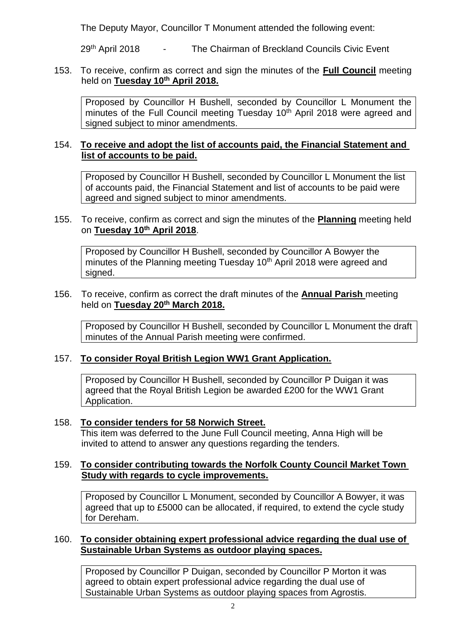The Deputy Mayor, Councillor T Monument attended the following event:

29<sup>th</sup> April 2018 - The Chairman of Breckland Councils Civic Event

## 153. To receive, confirm as correct and sign the minutes of the **Full Council** meeting held on **Tuesday 10th April 2018.**

Proposed by Councillor H Bushell, seconded by Councillor L Monument the minutes of the Full Council meeting Tuesday 10<sup>th</sup> April 2018 were agreed and signed subject to minor amendments.

# 154. **To receive and adopt the list of accounts paid, the Financial Statement and list of accounts to be paid.**

Proposed by Councillor H Bushell, seconded by Councillor L Monument the list of accounts paid, the Financial Statement and list of accounts to be paid were agreed and signed subject to minor amendments.

# 155. To receive, confirm as correct and sign the minutes of the **Planning** meeting held on **Tuesday 10th April 2018**.

Proposed by Councillor H Bushell, seconded by Councillor A Bowyer the minutes of the Planning meeting Tuesday 10<sup>th</sup> April 2018 were agreed and signed.

#### 156. To receive, confirm as correct the draft minutes of the **Annual Parish** meeting held on **Tuesday 20th March 2018.**

Proposed by Councillor H Bushell, seconded by Councillor L Monument the draft minutes of the Annual Parish meeting were confirmed.

# 157. **To consider Royal British Legion WW1 Grant Application.**

Proposed by Councillor H Bushell, seconded by Councillor P Duigan it was agreed that the Royal British Legion be awarded £200 for the WW1 Grant Application.

#### 158. **To consider tenders for 58 Norwich Street.**

This item was deferred to the June Full Council meeting, Anna High will be invited to attend to answer any questions regarding the tenders.

# 159. **To consider contributing towards the Norfolk County Council Market Town Study with regards to cycle improvements.**

Proposed by Councillor L Monument, seconded by Councillor A Bowyer, it was agreed that up to £5000 can be allocated, if required, to extend the cycle study for Dereham.

# 160. **To consider obtaining expert professional advice regarding the dual use of Sustainable Urban Systems as outdoor playing spaces.**

Proposed by Councillor P Duigan, seconded by Councillor P Morton it was agreed to obtain expert professional advice regarding the dual use of Sustainable Urban Systems as outdoor playing spaces from Agrostis.